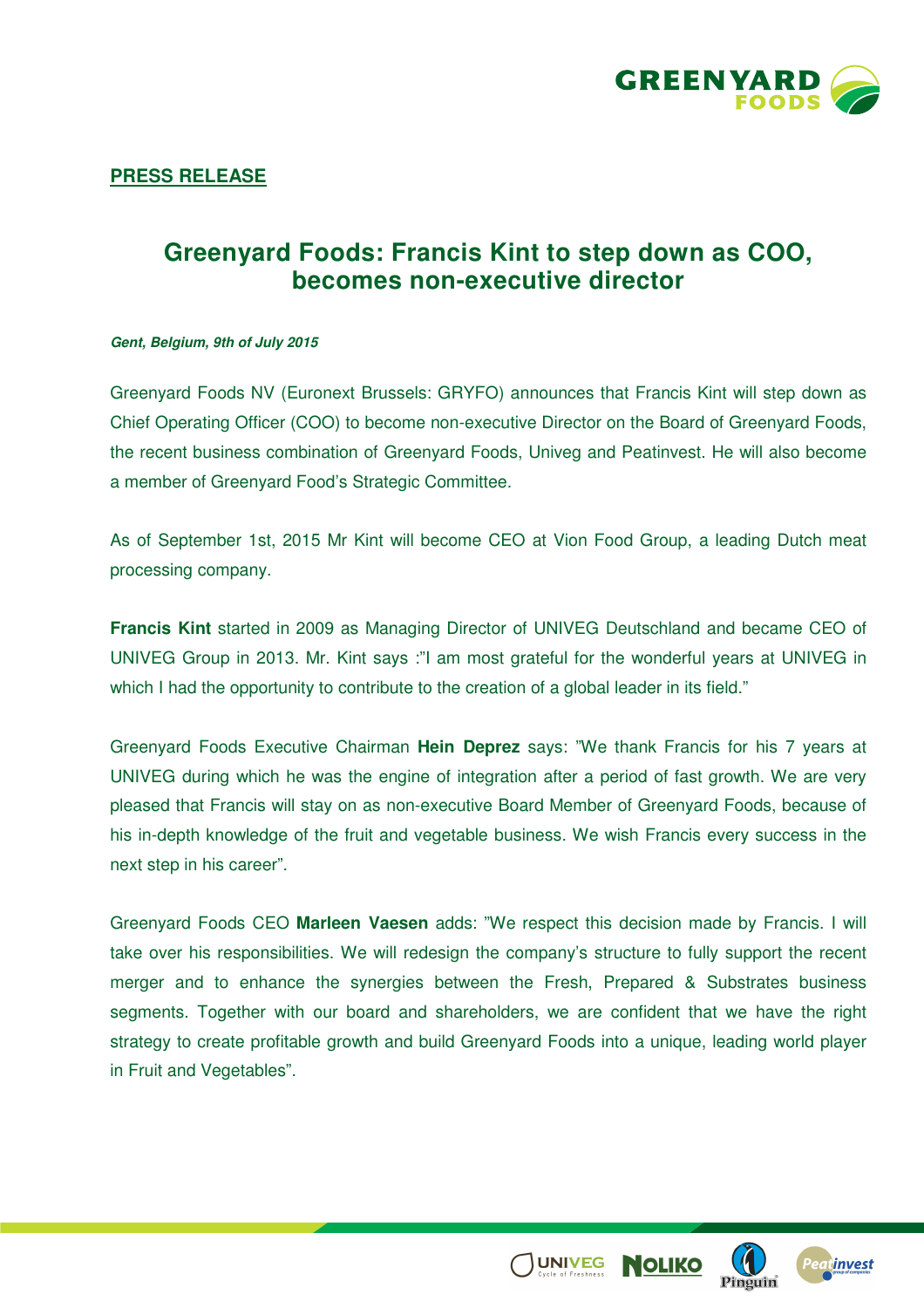

## **Greenyard Foods: Francis Kint to step down as COO, becomes non-executive director**

## **Gent, Belgium, 9th of July 2015**

Greenyard Foods NV (Euronext Brussels: GRYFO) announces that Francis Kint will step down as Chief Operating Officer (COO) to become non-executive Director on the Board of Greenyard Foods, the recent business combination of Greenyard Foods, Univeg and Peatinvest. He will also become a member of Greenyard Food's Strategic Committee.

As of September 1st, 2015 Mr Kint will become CEO at Vion Food Group, a leading Dutch meat processing company.

**Francis Kint** started in 2009 as Managing Director of UNIVEG Deutschland and became CEO of UNIVEG Group in 2013. Mr. Kint says :"I am most grateful for the wonderful years at UNIVEG in which I had the opportunity to contribute to the creation of a global leader in its field."

Greenyard Foods Executive Chairman **Hein Deprez** says: "We thank Francis for his 7 years at UNIVEG during which he was the engine of integration after a period of fast growth. We are very pleased that Francis will stay on as non-executive Board Member of Greenyard Foods, because of his in-depth knowledge of the fruit and vegetable business. We wish Francis every success in the next step in his career".

Greenyard Foods CEO **Marleen Vaesen** adds: "We respect this decision made by Francis. I will take over his responsibilities. We will redesign the company's structure to fully support the recent merger and to enhance the synergies between the Fresh, Prepared & Substrates business segments. Together with our board and shareholders, we are confident that we have the right strategy to create profitable growth and build Greenyard Foods into a unique, leading world player in Fruit and Vegetables".



**UNIVEG**